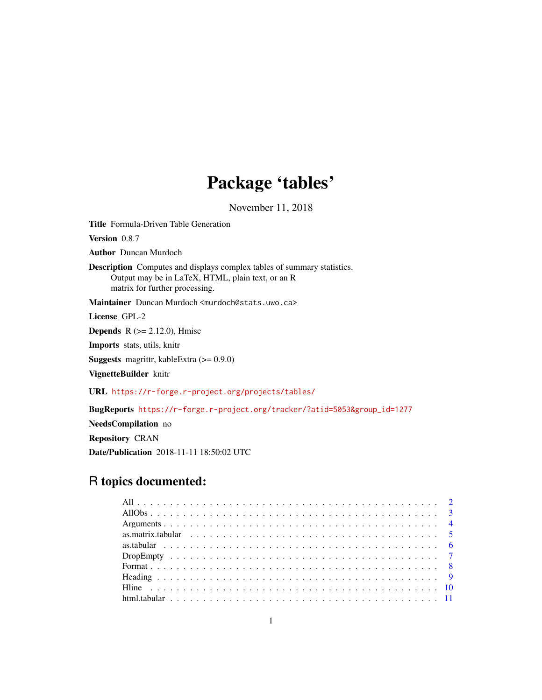## Package 'tables'

November 11, 2018

<span id="page-0-0"></span>Title Formula-Driven Table Generation

Version 0.8.7

Author Duncan Murdoch

Description Computes and displays complex tables of summary statistics. Output may be in LaTeX, HTML, plain text, or an R matrix for further processing.

Maintainer Duncan Murdoch <murdoch@stats.uwo.ca>

License GPL-2

**Depends** R  $(>= 2.12.0)$ , Hmisc

Imports stats, utils, knitr

Suggests magrittr, kableExtra (>= 0.9.0)

VignetteBuilder knitr

URL <https://r-forge.r-project.org/projects/tables/>

BugReports [https://r-forge.r-project.org/tracker/?atid=5053&group\\_id=1277](https://r-forge.r-project.org/tracker/?atid=5053&group_id=1277)

NeedsCompilation no

Repository CRAN

Date/Publication 2018-11-11 18:50:02 UTC

## R topics documented: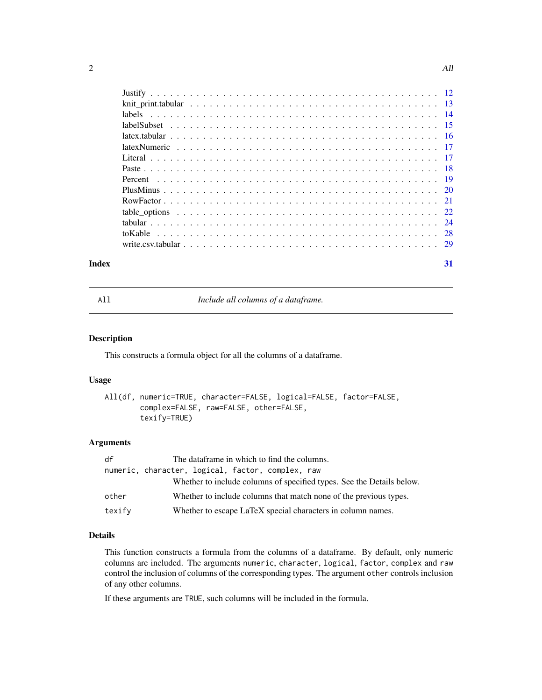<span id="page-1-0"></span>

#### **Index** [31](#page-30-0)

All *Include all columns of a dataframe.*

## Description

This constructs a formula object for all the columns of a dataframe.

## Usage

```
All(df, numeric=TRUE, character=FALSE, logical=FALSE, factor=FALSE,
        complex=FALSE, raw=FALSE, other=FALSE,
        texify=TRUE)
```
## Arguments

| df     | The dataframe in which to find the columns.                           |
|--------|-----------------------------------------------------------------------|
|        | numeric, character, logical, factor, complex, raw                     |
|        | Whether to include columns of specified types. See the Details below. |
| other  | Whether to include columns that match none of the previous types.     |
| texify | Whether to escape LaTeX special characters in column names.           |

## Details

This function constructs a formula from the columns of a dataframe. By default, only numeric columns are included. The arguments numeric, character, logical, factor, complex and raw control the inclusion of columns of the corresponding types. The argument other controls inclusion of any other columns.

If these arguments are TRUE, such columns will be included in the formula.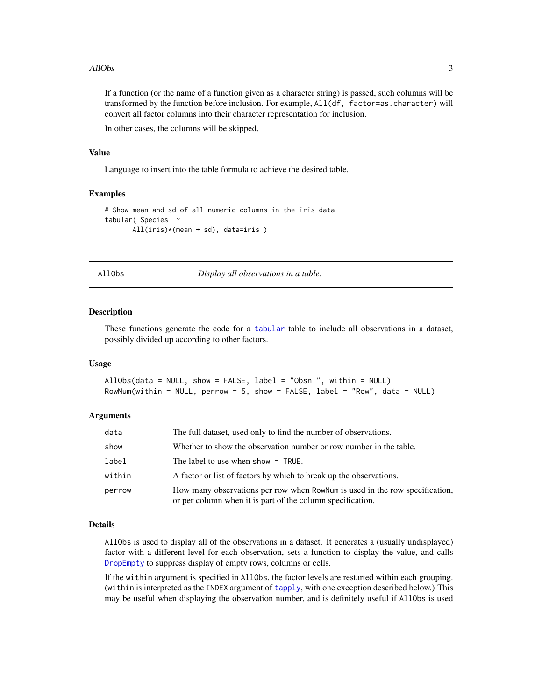#### <span id="page-2-0"></span>AllObs 3

If a function (or the name of a function given as a character string) is passed, such columns will be transformed by the function before inclusion. For example, All(df, factor=as.character) will convert all factor columns into their character representation for inclusion.

In other cases, the columns will be skipped.

#### Value

Language to insert into the table formula to achieve the desired table.

## Examples

```
# Show mean and sd of all numeric columns in the iris data
tabular( Species ~
      All(iris)*(mean + sd), data=iris )
```
AllObs *Display all observations in a table.*

#### **Description**

These functions generate the code for a [tabular](#page-23-1) table to include all observations in a dataset, possibly divided up according to other factors.

#### Usage

```
AllObs(data = NULL, show = FALSE, label = "Obsn.", within = NULL)
RowNum(within = NULL, perrow = 5, show = FALSE, label = "Row", data = NULL)
```
## Arguments

| data   | The full dataset, used only to find the number of observations.                                                                           |
|--------|-------------------------------------------------------------------------------------------------------------------------------------------|
| show   | Whether to show the observation number or row number in the table.                                                                        |
| label  | The label to use when show $=$ TRUE.                                                                                                      |
| within | A factor or list of factors by which to break up the observations.                                                                        |
| perrow | How many observations per row when RowNum is used in the row specification,<br>or per column when it is part of the column specification. |

#### Details

AllObs is used to display all of the observations in a dataset. It generates a (usually undisplayed) factor with a different level for each observation, sets a function to display the value, and calls [DropEmpty](#page-6-1) to suppress display of empty rows, columns or cells.

If the within argument is specified in AllObs, the factor levels are restarted within each grouping. (within is interpreted as the INDEX argument of [tapply](#page-0-0), with one exception described below.) This may be useful when displaying the observation number, and is definitely useful if AllObs is used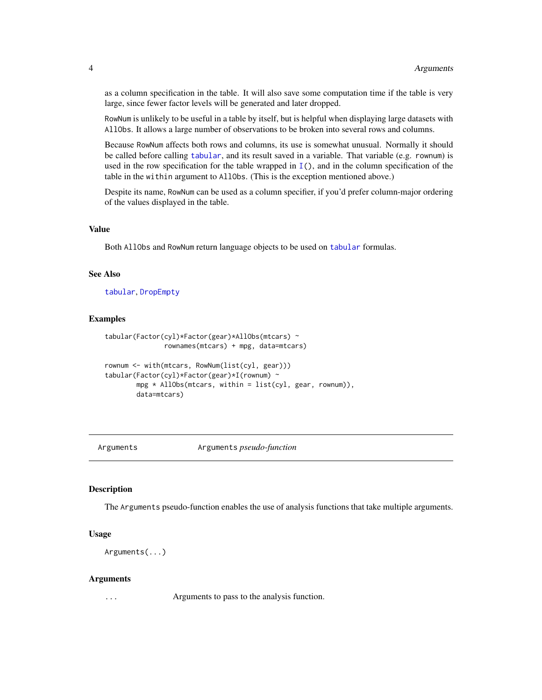<span id="page-3-0"></span>as a column specification in the table. It will also save some computation time if the table is very large, since fewer factor levels will be generated and later dropped.

RowNum is unlikely to be useful in a table by itself, but is helpful when displaying large datasets with AllObs. It allows a large number of observations to be broken into several rows and columns.

Because RowNum affects both rows and columns, its use is somewhat unusual. Normally it should be called before calling [tabular](#page-23-1), and its result saved in a variable. That variable (e.g. rownum) is used in the row specification for the table wrapped in [I\(](#page-0-0)), and in the column specification of the table in the within argument to AllObs. (This is the exception mentioned above.)

Despite its name, RowNum can be used as a column specifier, if you'd prefer column-major ordering of the values displayed in the table.

## Value

Both AllObs and RowNum return language objects to be used on [tabular](#page-23-1) formulas.

## See Also

[tabular](#page-23-1), [DropEmpty](#page-6-1)

#### Examples

```
tabular(Factor(cyl)*Factor(gear)*AllObs(mtcars) ~
              rownames(mtcars) + mpg, data=mtcars)
rownum <- with(mtcars, RowNum(list(cyl, gear)))
tabular(Factor(cyl)*Factor(gear)*I(rownum) ~
       mpg * AllObs(mtcars, within = list(cyl, gear, rownum)),data=mtcars)
```
<span id="page-3-1"></span>

Arguments Arguments *pseudo-function*

#### Description

The Arguments pseudo-function enables the use of analysis functions that take multiple arguments.

#### Usage

Arguments(...)

#### Arguments

... Arguments to pass to the analysis function.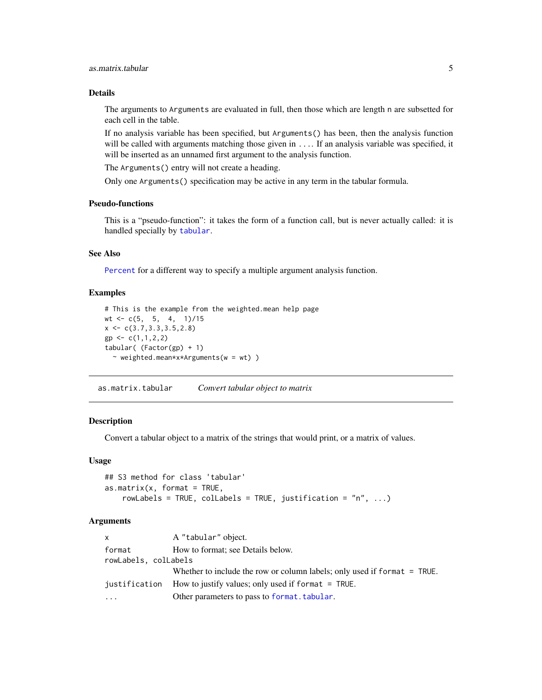## <span id="page-4-0"></span>Details

The arguments to Arguments are evaluated in full, then those which are length n are subsetted for each cell in the table.

If no analysis variable has been specified, but Arguments() has been, then the analysis function will be called with arguments matching those given in .... If an analysis variable was specified, it will be inserted as an unnamed first argument to the analysis function.

The Arguments() entry will not create a heading.

Only one Arguments() specification may be active in any term in the tabular formula.

## Pseudo-functions

This is a "pseudo-function": it takes the form of a function call, but is never actually called: it is handled specially by [tabular](#page-23-1).

## See Also

[Percent](#page-18-1) for a different way to specify a multiple argument analysis function.

#### Examples

```
# This is the example from the weighted.mean help page
wt <- c(5, 5, 4, 1)/15x \leftarrow c(3.7, 3.3, 3.5, 2.8)gp \leftarrow c(1,1,2,2)tabular((Factor(gp) + 1)~ weighted.mean*x*Arguments(w = wt) )
```
as.matrix.tabular *Convert tabular object to matrix*

## Description

Convert a tabular object to a matrix of the strings that would print, or a matrix of values.

#### Usage

```
## S3 method for class 'tabular'
as.matrix(x, format = TRUE,rowLabels = TRUE, colLabels = TRUE, justification = "n", ...)
```
## Arguments

| <b>X</b>                                                              | A "tabular" object.                                                      |  |
|-----------------------------------------------------------------------|--------------------------------------------------------------------------|--|
| format                                                                | How to format; see Details below.                                        |  |
| rowLabels, colLabels                                                  |                                                                          |  |
|                                                                       | Whether to include the row or column labels; only used if format = TRUE. |  |
| How to justify values; only used if format $=$ TRUE.<br>justification |                                                                          |  |
| $\cdots$                                                              | Other parameters to pass to format. tabular.                             |  |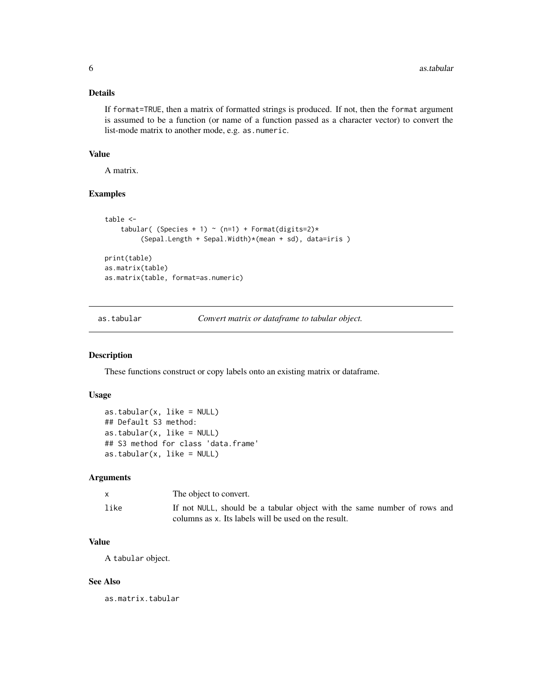## <span id="page-5-0"></span>Details

If format=TRUE, then a matrix of formatted strings is produced. If not, then the format argument is assumed to be a function (or name of a function passed as a character vector) to convert the list-mode matrix to another mode, e.g. as.numeric.

#### Value

A matrix.

## Examples

```
table <-
    tabular( (Species + 1) ~ (n=1) + Format(digits=2)*(Sepal.Length + Sepal.Width)*(mean + sd), data=iris )
print(table)
as.matrix(table)
as.matrix(table, format=as.numeric)
```
as.tabular *Convert matrix or dataframe to tabular object.*

## Description

These functions construct or copy labels onto an existing matrix or dataframe.

## Usage

```
as.tabular(x, like = NULL)
## Default S3 method:
as.tabular(x, like = NULL)
## S3 method for class 'data.frame'
as.tabular(x, like = NULL)
```
## Arguments

|      | The object to convert.                                                                                                           |
|------|----------------------------------------------------------------------------------------------------------------------------------|
| like | If not NULL, should be a tabular object with the same number of rows and<br>columns as x. Its labels will be used on the result. |

## Value

A tabular object.

## See Also

as.matrix.tabular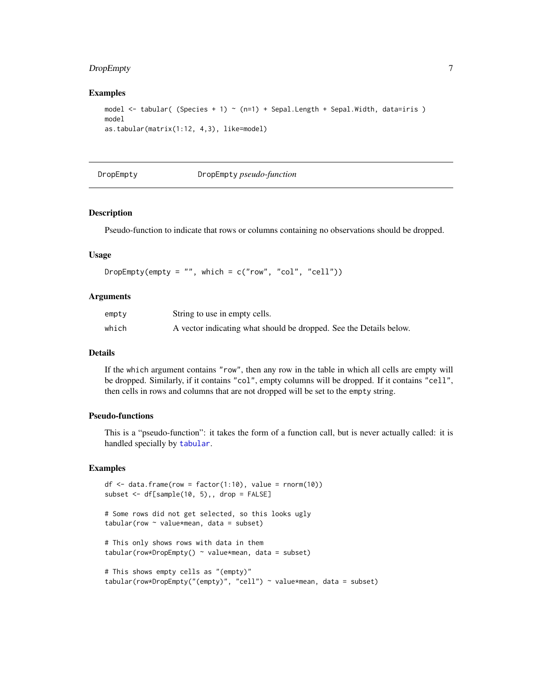## <span id="page-6-0"></span>DropEmpty 7

## Examples

```
model \le tabular( (Species + 1) \sim (n=1) + Sepal.Length + Sepal.Width, data=iris )
model
as.tabular(matrix(1:12, 4,3), like=model)
```
<span id="page-6-1"></span>

#### DropEmpty DropEmpty *pseudo-function*

## Description

Pseudo-function to indicate that rows or columns containing no observations should be dropped.

#### Usage

DropEmpty(empty = "", which =  $c("row", "col", "cell"))$ 

## Arguments

| empty | String to use in empty cells.                                      |
|-------|--------------------------------------------------------------------|
| which | A vector indicating what should be dropped. See the Details below. |

#### Details

If the which argument contains "row", then any row in the table in which all cells are empty will be dropped. Similarly, if it contains "col", empty columns will be dropped. If it contains "cell", then cells in rows and columns that are not dropped will be set to the empty string.

## Pseudo-functions

This is a "pseudo-function": it takes the form of a function call, but is never actually called: it is handled specially by [tabular](#page-23-1).

#### Examples

```
df \le data.frame(row = factor(1:10), value = rnorm(10))
subset <- df[sample(10, 5),, drop = FALSE]
# Some rows did not get selected, so this looks ugly
tabular(row ~ value*mean, data = subset)# This only shows rows with data in them
tabular(row*DropEmpty() \sim value*mean, data = subset)
# This shows empty cells as "(empty)"
tabular(row*DropEmpty("(empty)", "cell") ~ value*mean, data = subset)
```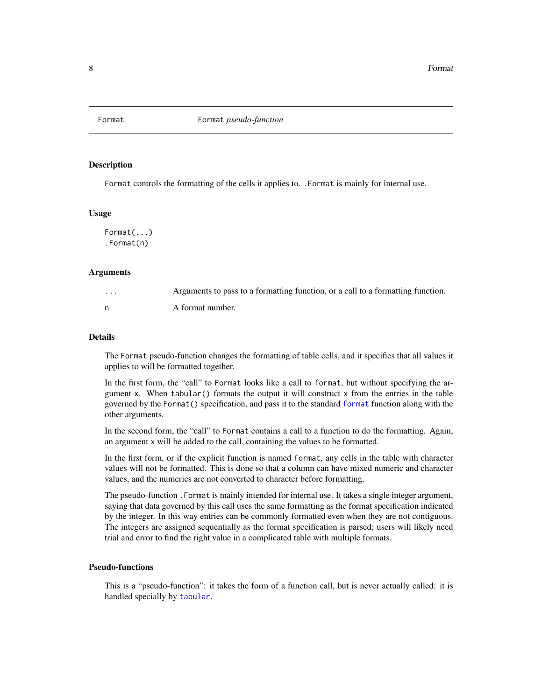<span id="page-7-0"></span>

## **Description**

Format controls the formatting of the cells it applies to. . Format is mainly for internal use.

## Usage

Format(...) .Format(n)

### Arguments

| . | Arguments to pass to a formatting function, or a call to a formatting function. |
|---|---------------------------------------------------------------------------------|
|   | A format number.                                                                |

## Details

The Format pseudo-function changes the formatting of table cells, and it specifies that all values it applies to will be formatted together.

In the first form, the "call" to Format looks like a call to format, but without specifying the argument x. When tabular() formats the output it will construct x from the entries in the table governed by the Format() specification, and pass it to the standard [format](#page-0-0) function along with the other arguments.

In the second form, the "call" to Format contains a call to a function to do the formatting. Again, an argument x will be added to the call, containing the values to be formatted.

In the first form, or if the explicit function is named format, any cells in the table with character values will not be formatted. This is done so that a column can have mixed numeric and character values, and the numerics are not converted to character before formatting.

The pseudo-function .Format is mainly intended for internal use. It takes a single integer argument, saying that data governed by this call uses the same formatting as the format specification indicated by the integer. In this way entries can be commonly formatted even when they are not contiguous. The integers are assigned sequentially as the format specification is parsed; users will likely need trial and error to find the right value in a complicated table with multiple formats.

## Pseudo-functions

This is a "pseudo-function": it takes the form of a function call, but is never actually called: it is handled specially by [tabular](#page-23-1).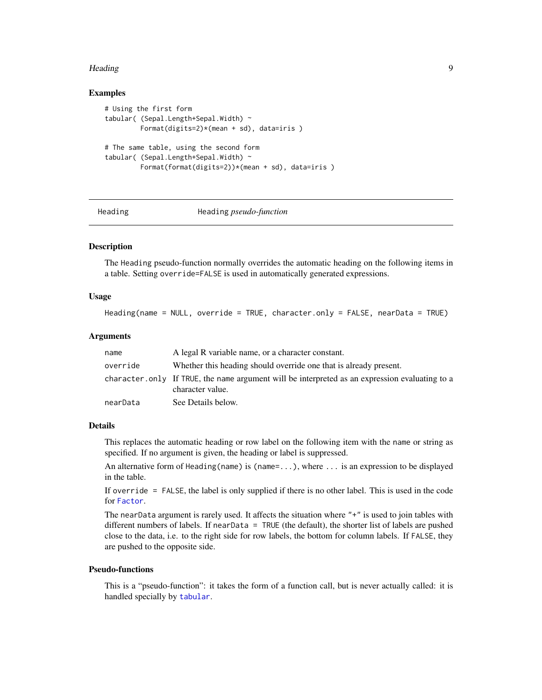#### <span id="page-8-0"></span>Heading 9

## Examples

```
# Using the first form
tabular( (Sepal.Length+Sepal.Width) ~
         Format(digits=2)*(mean + sd), data=iris )
# The same table, using the second form
tabular( (Sepal.Length+Sepal.Width) ~
         Format(format(digits=2))*(mean + sd), data=iris )
```
<span id="page-8-1"></span>

#### Heading Heading *pseudo-function*

## **Description**

The Heading pseudo-function normally overrides the automatic heading on the following items in a table. Setting override=FALSE is used in automatically generated expressions.

## Usage

```
Heading(name = NULL, override = TRUE, character.only = FALSE, nearData = TRUE)
```
## Arguments

| name     | A legal R variable name, or a character constant.                                                                  |
|----------|--------------------------------------------------------------------------------------------------------------------|
| override | Whether this heading should override one that is already present.                                                  |
|          | character only If TRUE, the name argument will be interpreted as an expression evaluating to a<br>character value. |
| nearData | See Details below.                                                                                                 |

#### Details

This replaces the automatic heading or row label on the following item with the name or string as specified. If no argument is given, the heading or label is suppressed.

An alternative form of Heading(name) is (name=...), where ... is an expression to be displayed in the table.

If override = FALSE, the label is only supplied if there is no other label. This is used in the code for [Factor](#page-20-1).

The nearData argument is rarely used. It affects the situation where "+" is used to join tables with different numbers of labels. If nearData = TRUE (the default), the shorter list of labels are pushed close to the data, i.e. to the right side for row labels, the bottom for column labels. If FALSE, they are pushed to the opposite side.

## Pseudo-functions

This is a "pseudo-function": it takes the form of a function call, but is never actually called: it is handled specially by [tabular](#page-23-1).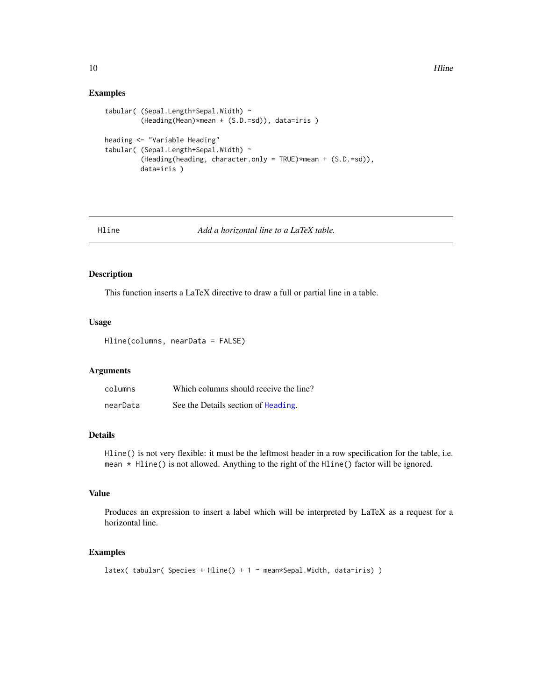## Examples

```
tabular( (Sepal.Length+Sepal.Width) ~
         (Heading(Mean)*mean + (S.D.=sd)), data=iris )
heading <- "Variable Heading"
tabular( (Sepal.Length+Sepal.Width) ~
         (Heading(heading, character.only = TRUE)*mean + (S.D.=sd)),
        data=iris )
```
<span id="page-9-1"></span>

Hline *Add a horizontal line to a LaTeX table.*

## Description

This function inserts a LaTeX directive to draw a full or partial line in a table.

## Usage

Hline(columns, nearData = FALSE)

## Arguments

| columns  | Which columns should receive the line? |
|----------|----------------------------------------|
| nearData | See the Details section of Heading.    |

## Details

Hline() is not very flexible: it must be the leftmost header in a row specification for the table, i.e. mean  $*$  Hline() is not allowed. Anything to the right of the Hline() factor will be ignored.

## Value

Produces an expression to insert a label which will be interpreted by LaTeX as a request for a horizontal line.

## Examples

```
latex( tabular( Species + Hline() + 1 ~ mean*Sepal.Width, data=iris) )
```
<span id="page-9-0"></span>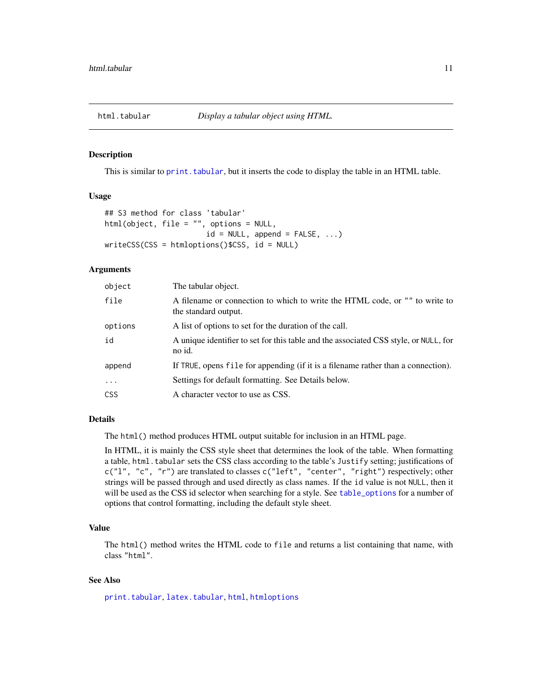<span id="page-10-1"></span><span id="page-10-0"></span>

#### Description

This is similar to [print.tabular](#page-23-2), but it inserts the code to display the table in an HTML table.

#### Usage

```
## S3 method for class 'tabular'
html(object, file = "", options = NULL,
                       id = NULL, append = FALSE, ...)
writeCSS(CSS = htmloptions()$CSS, id = NULL)
```
## Arguments

| object     | The tabular object.                                                                                 |
|------------|-----------------------------------------------------------------------------------------------------|
| file       | A filename or connection to which to write the HTML code, or "" to write to<br>the standard output. |
| options    | A list of options to set for the duration of the call.                                              |
| id         | A unique identifier to set for this table and the associated CSS style, or NULL, for<br>no id.      |
| append     | If TRUE, opens file for appending (if it is a filename rather than a connection).                   |
| $\cdots$   | Settings for default formatting. See Details below.                                                 |
| <b>CSS</b> | A character vector to use as CSS.                                                                   |

## Details

The html() method produces HTML output suitable for inclusion in an HTML page.

In HTML, it is mainly the CSS style sheet that determines the look of the table. When formatting a table, html.tabular sets the CSS class according to the table's Justify setting; justifications of c("l", "c", "r") are translated to classes c("left", "center", "right") respectively; other strings will be passed through and used directly as class names. If the id value is not NULL, then it will be used as the CSS id selector when searching for a style. See [table\\_options](#page-21-1) for a number of options that control formatting, including the default style sheet.

## Value

The html() method writes the HTML code to file and returns a list containing that name, with class "html".

## See Also

[print.tabular](#page-23-2), [latex.tabular](#page-15-1), [html](#page-0-0), [htmloptions](#page-21-2)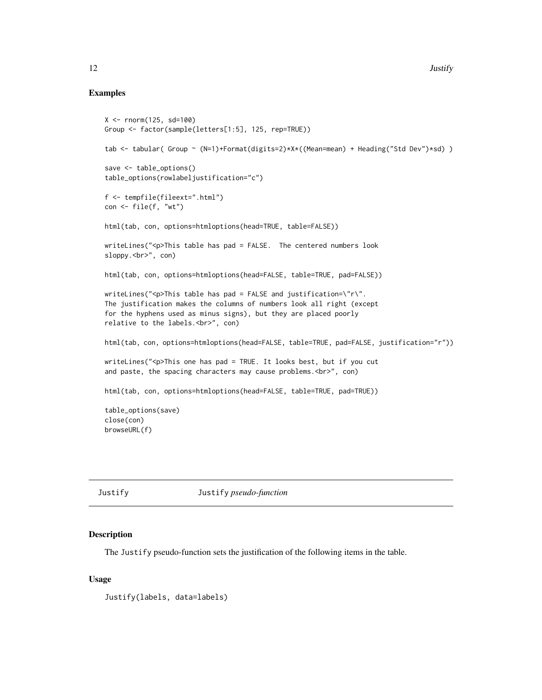## Examples

```
X <- rnorm(125, sd=100)
Group <- factor(sample(letters[1:5], 125, rep=TRUE))
tab <- tabular( Group ~ (N=1)+Format(digits=2)*X*((Mean=mean) + Heading("Std Dev")*sd))
save <- table_options()
table_options(rowlabeljustification="c")
f <- tempfile(fileext=".html")
con <- file(f, "wt")
html(tab, con, options=htmloptions(head=TRUE, table=FALSE))
writeLines("<p>This table has pad = FALSE. The centered numbers look
sloppy.<br>", con)
html(tab, con, options=htmloptions(head=FALSE, table=TRUE, pad=FALSE))
writeLines("<p>This table has pad = FALSE and justification=\"r\".
The justification makes the columns of numbers look all right (except
for the hyphens used as minus signs), but they are placed poorly
relative to the labels. < br>", con)
html(tab, con, options=htmloptions(head=FALSE, table=TRUE, pad=FALSE, justification="r"))
writeLines("<p>This one has pad = TRUE. It looks best, but if you cut
and paste, the spacing characters may cause problems. < br>", con)
html(tab, con, options=htmloptions(head=FALSE, table=TRUE, pad=TRUE))
table_options(save)
close(con)
browseURL(f)
```
Justify Justify *pseudo-function*

#### Description

The Justify pseudo-function sets the justification of the following items in the table.

#### Usage

Justify(labels, data=labels)

<span id="page-11-0"></span>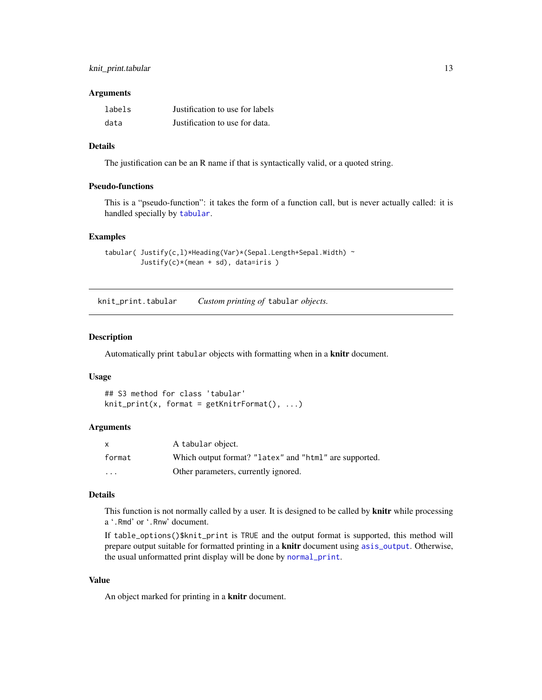## <span id="page-12-0"></span>knit\_print.tabular 13

#### **Arguments**

| labels | Justification to use for labels |
|--------|---------------------------------|
| data   | Justification to use for data.  |

## Details

The justification can be an R name if that is syntactically valid, or a quoted string.

#### Pseudo-functions

This is a "pseudo-function": it takes the form of a function call, but is never actually called: it is handled specially by [tabular](#page-23-1).

## Examples

```
tabular( Justify(c,l)*Heading(Var)*(Sepal.Length+Sepal.Width) ~
         Justify(c)*(mean + sd), data=iris )
```
knit\_print.tabular *Custom printing of* tabular *objects.*

#### Description

Automatically print tabular objects with formatting when in a knitr document.

## Usage

```
## S3 method for class 'tabular'
knit_print(x, format = getKnitrFormat(), ...)
```
## Arguments

| $\mathsf{x}$ | A tabular object.                                      |
|--------------|--------------------------------------------------------|
| format       | Which output format? "latex" and "html" are supported. |
| .            | Other parameters, currently ignored.                   |

#### Details

This function is not normally called by a user. It is designed to be called by **knitr** while processing a '.Rmd' or '.Rnw' document.

If table\_options()\$knit\_print is TRUE and the output format is supported, this method will prepare output suitable for formatted printing in a knitr document using [asis\\_output](#page-0-0). Otherwise, the usual unformatted print display will be done by [normal\\_print](#page-0-0).

## Value

An object marked for printing in a knitr document.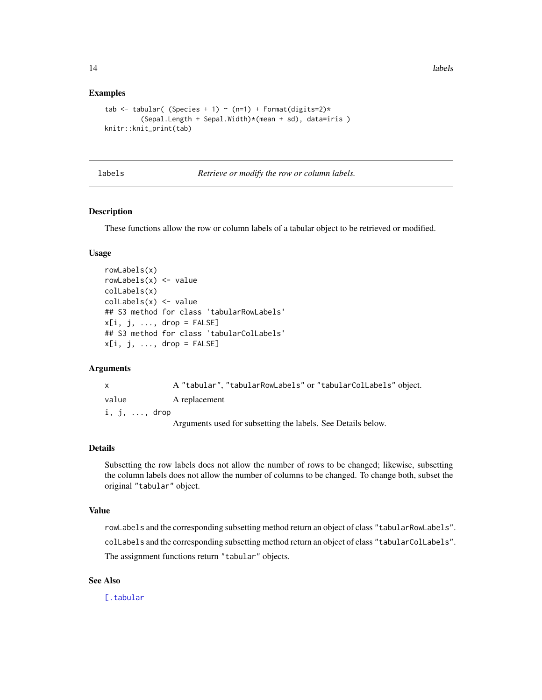## Examples

```
tab <- tabular( (Species + 1) ~ (n=1) + Format(digits=2)*
         (Sepal.Length + Sepal.Width)*(mean + sd), data=iris )
knitr::knit_print(tab)
```
#### labels *Retrieve or modify the row or column labels.*

## Description

These functions allow the row or column labels of a tabular object to be retrieved or modified.

## Usage

```
rowLabels(x)
rowLabels(x) <- value
colLabels(x)
colLabels(x) <- value
## S3 method for class 'tabularRowLabels'
x[i, j, \ldots, drop = FALSE]## S3 method for class 'tabularColLabels'
x[i, j, ..., drop = FALSE]
```
#### Arguments

|                       | A "tabular", "tabularRowLabels" or "tabularColLabels" object. |
|-----------------------|---------------------------------------------------------------|
| value                 | A replacement                                                 |
| $i, j, \ldots, dr$ op |                                                               |
|                       | Arguments used for subsetting the labels. See Details below.  |

#### Details

Subsetting the row labels does not allow the number of rows to be changed; likewise, subsetting the column labels does not allow the number of columns to be changed. To change both, subset the original "tabular" object.

## Value

rowLabels and the corresponding subsetting method return an object of class "tabularRowLabels". colLabels and the corresponding subsetting method return an object of class "tabularColLabels". The assignment functions return "tabular" objects.

## See Also

[\[.tabular](#page-23-2)

<span id="page-13-0"></span>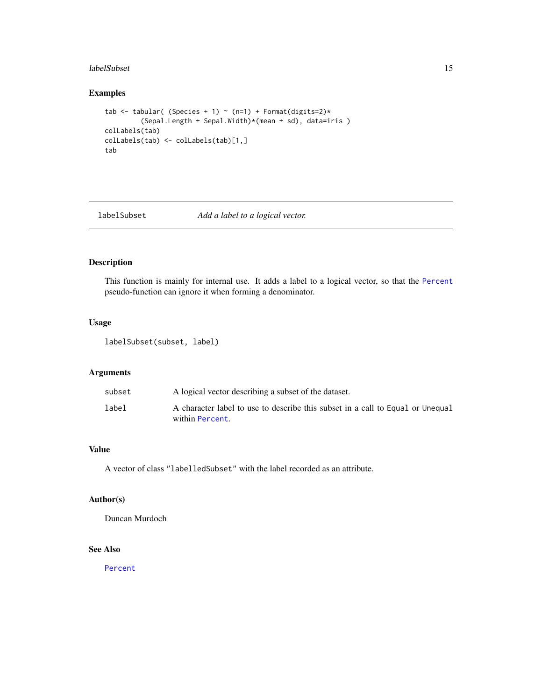#### <span id="page-14-0"></span>labelSubset 15

## Examples

```
tab <- tabular( (Species + 1) ~ (n=1) + Format(digits=2)*
         (Sepal.Length + Sepal.Width)*(mean + sd), data=iris )
colLabels(tab)
colLabels(tab) <- colLabels(tab)[1,]
tab
```
labelSubset *Add a label to a logical vector.*

## Description

This function is mainly for internal use. It adds a label to a logical vector, so that the [Percent](#page-18-1) pseudo-function can ignore it when forming a denominator.

## Usage

labelSubset(subset, label)

## Arguments

| subset | A logical vector describing a subset of the dataset.                                              |
|--------|---------------------------------------------------------------------------------------------------|
| label  | A character label to use to describe this subset in a call to Equal or Unequal<br>within Percent. |

## Value

A vector of class "labelledSubset" with the label recorded as an attribute.

#### Author(s)

Duncan Murdoch

## See Also

[Percent](#page-18-1)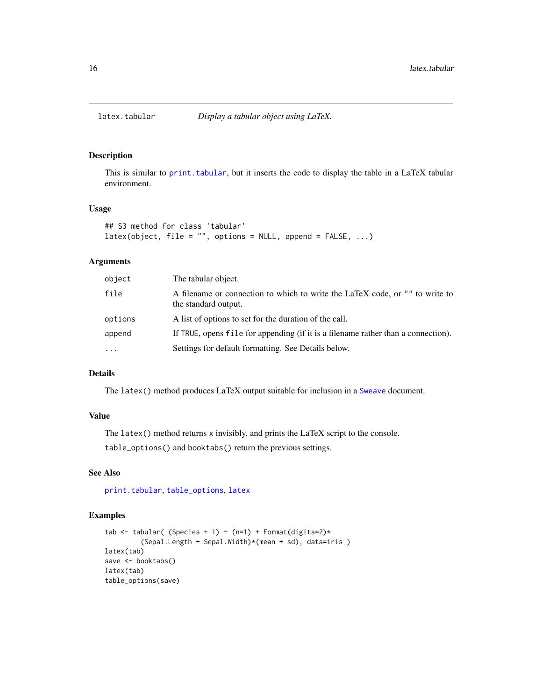<span id="page-15-1"></span><span id="page-15-0"></span>

## Description

This is similar to [print.tabular](#page-23-2), but it inserts the code to display the table in a LaTeX tabular environment.

## Usage

```
## S3 method for class 'tabular'
\text{latex}(\text{object}, \text{file} = \text{""}, \text{options} = \text{NULL}, \text{append} = \text{FALSE}, \dots)
```
## Arguments

| object  | The tabular object.                                                                                  |
|---------|------------------------------------------------------------------------------------------------------|
| file    | A filename or connection to which to write the LaTeX code, or "" to write to<br>the standard output. |
| options | A list of options to set for the duration of the call.                                               |
| append  | If TRUE, opens file for appending (if it is a filename rather than a connection).                    |
| .       | Settings for default formatting. See Details below.                                                  |

## Details

The latex() method produces LaTeX output suitable for inclusion in a [Sweave](#page-0-0) document.

## Value

The latex() method returns x invisibly, and prints the LaTeX script to the console. table\_options() and booktabs() return the previous settings.

#### See Also

[print.tabular](#page-23-2), [table\\_options](#page-21-1), [latex](#page-0-0)

## Examples

```
tab <- tabular( (Species + 1) ~ (n=1) + Format(digits=2)*
         (Sepal.Length + Sepal.Width)*(mean + sd), data=iris )
latex(tab)
save <- booktabs()
latex(tab)
table_options(save)
```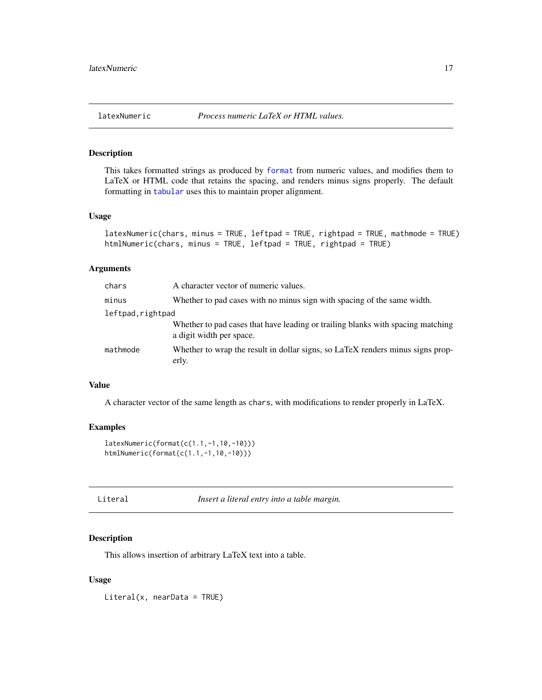<span id="page-16-1"></span><span id="page-16-0"></span>

## <span id="page-16-2"></span>Description

This takes formatted strings as produced by [format](#page-0-0) from numeric values, and modifies them to LaTeX or HTML code that retains the spacing, and renders minus signs properly. The default formatting in [tabular](#page-23-1) uses this to maintain proper alignment.

#### Usage

```
latexNumeric(chars, minus = TRUE, leftpad = TRUE, rightpad = TRUE, mathmode = TRUE)
htmlNumeric(chars, minus = TRUE, leftpad = TRUE, rightpad = TRUE)
```
## Arguments

| chars             | A character vector of numeric values.                                                                       |
|-------------------|-------------------------------------------------------------------------------------------------------------|
| minus             | Whether to pad cases with no minus sign with spacing of the same width.                                     |
| leftpad, rightpad |                                                                                                             |
|                   | Whether to pad cases that have leading or trailing blanks with spacing matching<br>a digit width per space. |
| mathmode          | Whether to wrap the result in dollar signs, so LaTeX renders minus signs prop-<br>erly.                     |

#### Value

A character vector of the same length as chars, with modifications to render properly in LaTeX.

## Examples

```
latexNumeric(format(c(1.1,-1,10,-10)))
htmlNumeric(format(c(1.1,-1,10,-10)))
```

| Literal | Insert a literal entry into a table margin. |  |  |  |
|---------|---------------------------------------------|--|--|--|
|         |                                             |  |  |  |

#### Description

This allows insertion of arbitrary LaTeX text into a table.

## Usage

Literal(x, nearData = TRUE)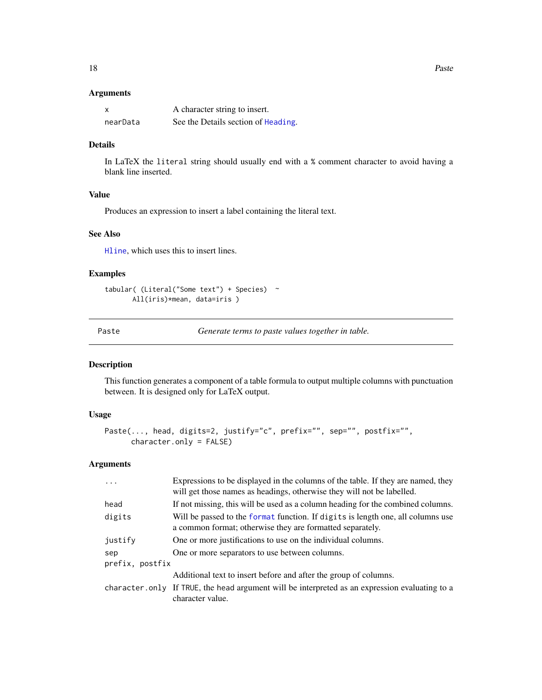## <span id="page-17-0"></span>Arguments

|          | A character string to insert.       |
|----------|-------------------------------------|
| nearData | See the Details section of Heading. |

## Details

In LaTeX the literal string should usually end with a % comment character to avoid having a blank line inserted.

## Value

Produces an expression to insert a label containing the literal text.

## See Also

[Hline](#page-9-1), which uses this to insert lines.

## Examples

```
tabular( (Literal("Some text") + Species) ~
      All(iris)*mean, data=iris )
```
Paste *Generate terms to paste values together in table.*

## Description

This function generates a component of a table formula to output multiple columns with punctuation between. It is designed only for LaTeX output.

## Usage

```
Paste(..., head, digits=2, justify="c", prefix="", sep="", postfix="",
      character.only = FALSE)
```
## Arguments

| $\ddots$        | Expressions to be displayed in the columns of the table. If they are named, they<br>will get those names as headings, otherwise they will not be labelled. |
|-----------------|------------------------------------------------------------------------------------------------------------------------------------------------------------|
| head            | If not missing, this will be used as a column heading for the combined columns.                                                                            |
| digits          | Will be passed to the format function. If digits is length one, all columns use<br>a common format; otherwise they are formatted separately.               |
| justify         | One or more justifications to use on the individual columns.                                                                                               |
| sep             | One or more separators to use between columns.                                                                                                             |
| prefix, postfix |                                                                                                                                                            |
|                 | Additional text to insert before and after the group of columns.                                                                                           |
|                 | character only If TRUE, the head argument will be interpreted as an expression evaluating to a<br>character value.                                         |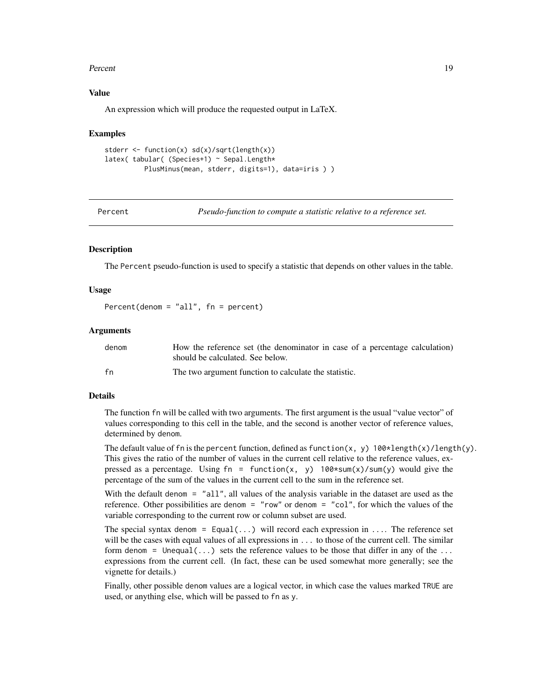#### <span id="page-18-0"></span>Percent 19

## Value

An expression which will produce the requested output in LaTeX.

#### Examples

```
stderr <- function(x) sd(x)/sqrt(length(x))
latex( tabular( (Species+1) ~ Sepal.Length*
         PlusMinus(mean, stderr, digits=1), data=iris ) )
```
<span id="page-18-1"></span>Percent *Pseudo-function to compute a statistic relative to a reference set.*

#### Description

The Percent pseudo-function is used to specify a statistic that depends on other values in the table.

#### Usage

Percent(denom =  $"all",$  fn = percent)

#### Arguments

| denom | How the reference set (the denominator in case of a percentage calculation) |
|-------|-----------------------------------------------------------------------------|
|       | should be calculated. See below.                                            |
| fn    | The two argument function to calculate the statistic.                       |

#### Details

The function fn will be called with two arguments. The first argument is the usual "value vector" of values corresponding to this cell in the table, and the second is another vector of reference values, determined by denom.

The default value of fn is the percent function, defined as function(x, y)  $100*length(x)/length(y)$ . This gives the ratio of the number of values in the current cell relative to the reference values, expressed as a percentage. Using  $fn = function(x, y)$  100\*sum(x)/sum(y) would give the percentage of the sum of the values in the current cell to the sum in the reference set.

With the default denom = "all", all values of the analysis variable in the dataset are used as the reference. Other possibilities are denom = "row" or denom = "col", for which the values of the variable corresponding to the current row or column subset are used.

The special syntax denom =  $Equal(...)$  will record each expression in .... The reference set will be the cases with equal values of all expressions in ... to those of the current cell. The similar form denom = Unequal(...) sets the reference values to be those that differ in any of the ... expressions from the current cell. (In fact, these can be used somewhat more generally; see the vignette for details.)

Finally, other possible denom values are a logical vector, in which case the values marked TRUE are used, or anything else, which will be passed to fn as y.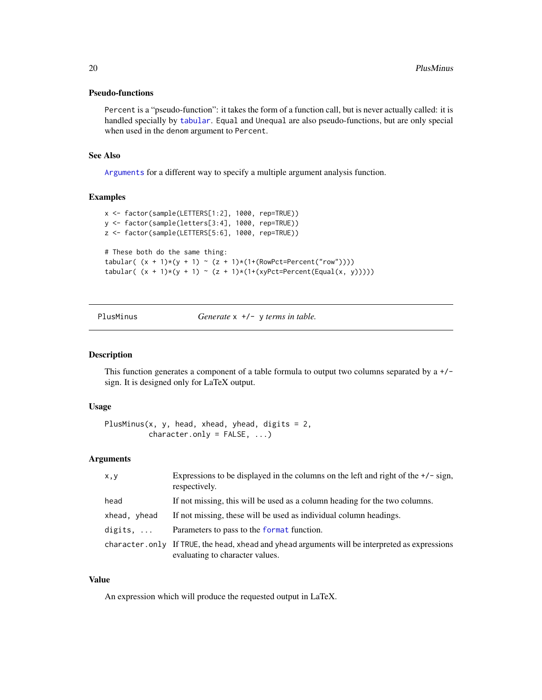## <span id="page-19-0"></span>Pseudo-functions

Percent is a "pseudo-function": it takes the form of a function call, but is never actually called: it is handled specially by [tabular](#page-23-1). Equal and Unequal are also pseudo-functions, but are only special when used in the denom argument to Percent.

## See Also

[Arguments](#page-3-1) for a different way to specify a multiple argument analysis function.

#### Examples

```
x <- factor(sample(LETTERS[1:2], 1000, rep=TRUE))
y <- factor(sample(letters[3:4], 1000, rep=TRUE))
z <- factor(sample(LETTERS[5:6], 1000, rep=TRUE))
# These both do the same thing:
tabular( (x + 1)*(y + 1) ~ (z + 1)*(1+(RowPct=Percent("row"))))tabular( (x + 1)*(y + 1) \sim (z + 1)*(1+(xyPct=Percent(Equal(x, y))))
```
PlusMinus *Generate* x +/- y *terms in table.*

## Description

This function generates a component of a table formula to output two columns separated by  $a +/2$ sign. It is designed only for LaTeX output.

#### Usage

```
PlusMinus(x, y, head, xhead, yhead, digits = 2,
         character.only = FALSE, ...)
```
## Arguments

| x,y              | Expressions to be displayed in the columns on the left and right of the $+/-$ sign,<br>respectively.                               |
|------------------|------------------------------------------------------------------------------------------------------------------------------------|
| head             | If not missing, this will be used as a column heading for the two columns.                                                         |
| xhead, yhead     | If not missing, these will be used as individual column headings.                                                                  |
| digits, $\ldots$ | Parameters to pass to the format function.                                                                                         |
|                  | character, only If TRUE, the head, xhead and yhead arguments will be interpreted as expressions<br>evaluating to character values. |

## Value

An expression which will produce the requested output in LaTeX.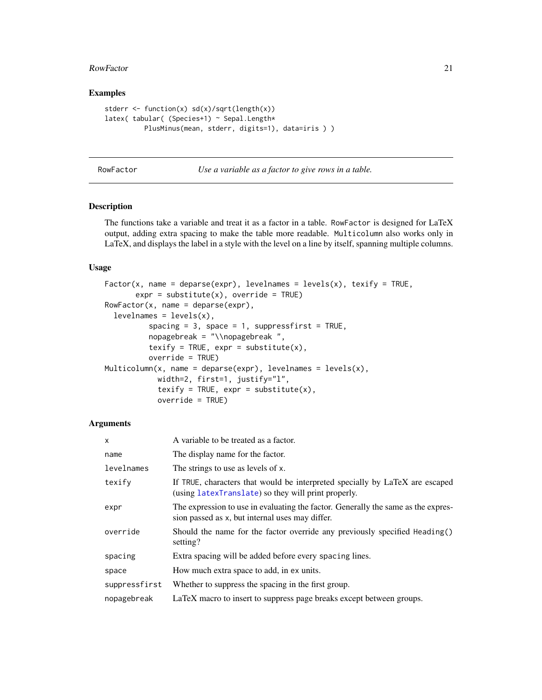#### <span id="page-20-0"></span>RowFactor 21

## Examples

```
stderr <- function(x) sd(x)/sqrt(length(x))
latex( tabular( (Species+1) ~ Sepal.Length*
         PlusMinus(mean, stderr, digits=1), data=iris ) )
```

| RowFactor | Use a variable as a factor to give rows in a table. |  |  |
|-----------|-----------------------------------------------------|--|--|
|-----------|-----------------------------------------------------|--|--|

## <span id="page-20-1"></span>Description

The functions take a variable and treat it as a factor in a table. RowFactor is designed for LaTeX output, adding extra spacing to make the table more readable. Multicolumn also works only in LaTeX, and displays the label in a style with the level on a line by itself, spanning multiple columns.

## Usage

```
Factor(x, name = deparse(expr), levelnames = levels(x), texify = TRUE,
      expr = substitute(x), override = TRUE)RowFactor(x, name = deparse(exp),levelnames = levels(x),spacing = 3, space = 1, suppressfirst = TRUE,
         nopagebreak = "\\nopagebreak ",
         texify = TRUE, expr = substitute(x),
         override = TRUE)
Multicolumn(x, name = deparse(exp), levelnames = levels(x),width=2, first=1, justify="l",
           texify = TRUE, expr = substitute(x),
           override = TRUE)
```
## Arguments

| $\mathsf{x}$  | A variable to be treated as a factor.                                                                                                |
|---------------|--------------------------------------------------------------------------------------------------------------------------------------|
| name          | The display name for the factor.                                                                                                     |
| levelnames    | The strings to use as levels of x.                                                                                                   |
| texify        | If TRUE, characters that would be interpreted specially by LaTeX are escaped<br>(using latexTranslate) so they will print properly.  |
| expr          | The expression to use in evaluating the factor. Generally the same as the expres-<br>sion passed as x, but internal uses may differ. |
| override      | Should the name for the factor override any previously specified Heading()<br>setting?                                               |
| spacing       | Extra spacing will be added before every spacing lines.                                                                              |
| space         | How much extra space to add, in ex units.                                                                                            |
| suppressfirst | Whether to suppress the spacing in the first group.                                                                                  |
| nopagebreak   | LaTeX macro to insert to suppress page breaks except between groups.                                                                 |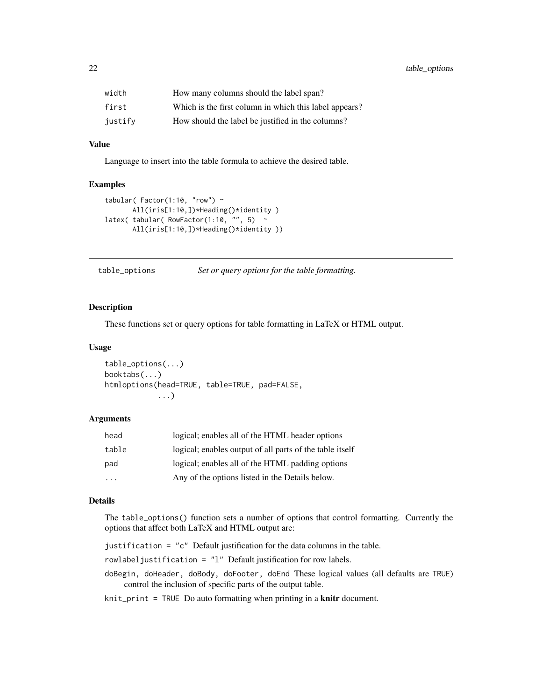<span id="page-21-0"></span>

| width   | How many columns should the label span?                |
|---------|--------------------------------------------------------|
| first   | Which is the first column in which this label appears? |
| justify | How should the label be justified in the columns?      |

## Value

Language to insert into the table formula to achieve the desired table.

## Examples

```
tabular( Factor(1:10, "row") \simAll(iris[1:10,])*Heading()*identity)
latex( tabular( RowFactor(1:10, "", 5) ~
      All(iris[1:10,])*Heading()*identity ))
```
<span id="page-21-1"></span>table\_options *Set or query options for the table formatting.*

#### <span id="page-21-2"></span>Description

These functions set or query options for table formatting in LaTeX or HTML output.

#### Usage

```
table_options(...)
booktabs(...)
htmloptions(head=TRUE, table=TRUE, pad=FALSE,
            ...)
```
## Arguments

| head  | logical; enables all of the HTML header options          |
|-------|----------------------------------------------------------|
| table | logical; enables output of all parts of the table itself |
| pad   | logical; enables all of the HTML padding options         |
| .     | Any of the options listed in the Details below.          |

## Details

The table\_options() function sets a number of options that control formatting. Currently the options that affect both LaTeX and HTML output are:

justification = "c" Default justification for the data columns in the table.

rowlabeljustification = "l" Default justification for row labels.

doBegin, doHeader, doBody, doFooter, doEnd These logical values (all defaults are TRUE) control the inclusion of specific parts of the output table.

knit\_print = TRUE Do auto formatting when printing in a knitr document.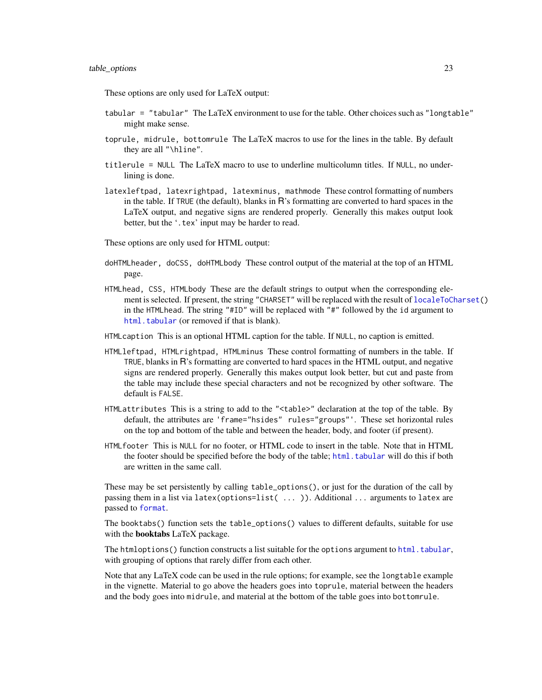<span id="page-22-0"></span>These options are only used for LaTeX output:

- tabular = "tabular" The LaTeX environment to use for the table. Other choices such as "longtable" might make sense.
- toprule, midrule, bottomrule The LaTeX macros to use for the lines in the table. By default they are all "\hline".
- titlerule = NULL The LaTeX macro to use to underline multicolumn titles. If NULL, no underlining is done.
- latexleftpad, latexrightpad, latexminus, mathmode These control formatting of numbers in the table. If TRUE (the default), blanks in R's formatting are converted to hard spaces in the LaTeX output, and negative signs are rendered properly. Generally this makes output look better, but the '.tex' input may be harder to read.

These options are only used for HTML output:

- doHTMLheader, doCSS, doHTMLbody These control output of the material at the top of an HTML page.
- HTMLhead, CSS, HTMLbody These are the default strings to output when the corresponding element is selected. If present, the string "CHARSET" will be replaced with the result of [localeToCharset\(](#page-0-0)) in the HTMLhead. The string "#ID" will be replaced with "#" followed by the id argument to [html.tabular](#page-10-1) (or removed if that is blank).
- HTMLcaption This is an optional HTML caption for the table. If NULL, no caption is emitted.
- HTMLleftpad, HTMLrightpad, HTMLminus These control formatting of numbers in the table. If TRUE, blanks in R's formatting are converted to hard spaces in the HTML output, and negative signs are rendered properly. Generally this makes output look better, but cut and paste from the table may include these special characters and not be recognized by other software. The default is FALSE.
- HTMLattributes This is a string to add to the "<table>" declaration at the top of the table. By default, the attributes are 'frame="hsides" rules="groups"'. These set horizontal rules on the top and bottom of the table and between the header, body, and footer (if present).
- HTMLfooter This is NULL for no footer, or HTML code to insert in the table. Note that in HTML the footer should be specified before the body of the table; [html.tabular](#page-10-1) will do this if both are written in the same call.

These may be set persistently by calling table\_options(), or just for the duration of the call by passing them in a list via latex(options=list( ... )). Additional ... arguments to latex are passed to [format](#page-0-0).

The booktabs() function sets the table\_options() values to different defaults, suitable for use with the booktabs LaTeX package.

The htmloptions() function constructs a list suitable for the options argument to  $html$ .tabular, with grouping of options that rarely differ from each other.

Note that any LaTeX code can be used in the rule options; for example, see the longtable example in the vignette. Material to go above the headers goes into toprule, material between the headers and the body goes into midrule, and material at the bottom of the table goes into bottomrule.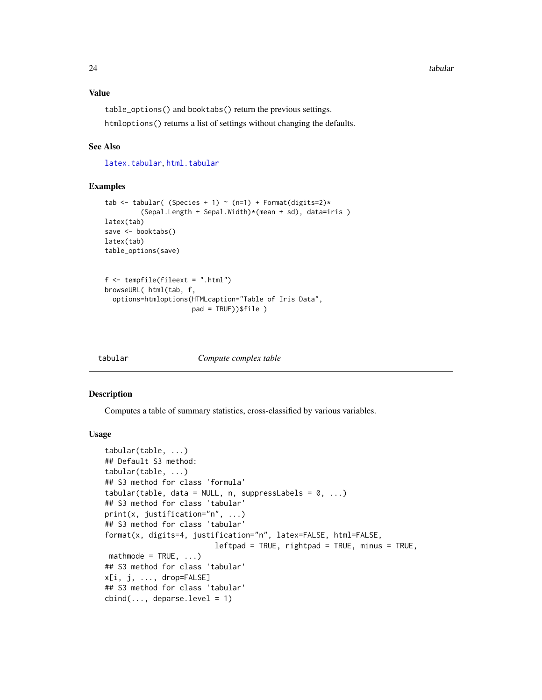## <span id="page-23-0"></span>Value

table\_options() and booktabs() return the previous settings. htmloptions() returns a list of settings without changing the defaults.

#### See Also

[latex.tabular](#page-15-1), [html.tabular](#page-10-1)

#### Examples

```
tab <- tabular( (Species + 1) ~ (n=1) + Format(digits=2)*
          (Sepal.Length + Sepal.Width)*(mean + sd), data=iris )
latex(tab)
save <- booktabs()
latex(tab)
table_options(save)
f \leftarrow \text{template}(\text{fileext} = ".\text{html}')browseURL( html(tab, f,
  options=htmloptions(HTMLcaption="Table of Iris Data",
                        pad = TRUE))$file )
```
<span id="page-23-1"></span>

|  | tabular |
|--|---------|
|  |         |

#### Compute complex table

#### <span id="page-23-2"></span>Description

Computes a table of summary statistics, cross-classified by various variables.

## Usage

```
tabular(table, ...)
## Default S3 method:
tabular(table, ...)
## S3 method for class 'formula'
tabular(table, data = NULL, n, suppressLabels = 0, ...)
## S3 method for class 'tabular'
print(x, justification="n", ...)
## S3 method for class 'tabular'
format(x, digits=4, justification="n", latex=FALSE, html=FALSE,
                         leftpad = TRUE, rightpad = TRUE, minus = TRUE,mathmode = TRUE, ...)
## S3 method for class 'tabular'
x[i, j, ..., drop=FALSE]
## S3 method for class 'tabular'
cbind(..., deparse.level = 1)
```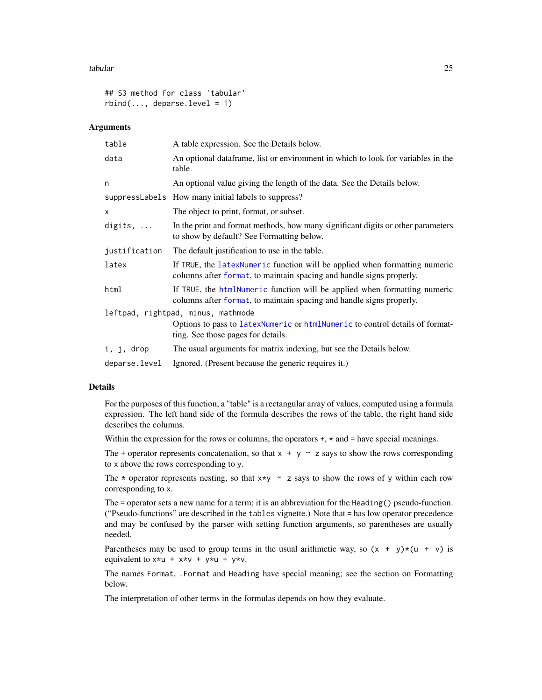#### <span id="page-24-0"></span>tabular 25

```
## S3 method for class 'tabular'
rbind(..., \text{ deparse. level} = 1)
```
#### **Arguments**

| table                              | A table expression. See the Details below.                                                                                                         |
|------------------------------------|----------------------------------------------------------------------------------------------------------------------------------------------------|
| data                               | An optional dataframe, list or environment in which to look for variables in the<br>table.                                                         |
| n                                  | An optional value giving the length of the data. See the Details below.                                                                            |
|                                    | suppressLabels How many initial labels to suppress?                                                                                                |
| x                                  | The object to print, format, or subset.                                                                                                            |
| digits, $\ldots$                   | In the print and format methods, how many significant digits or other parameters<br>to show by default? See Formatting below.                      |
| justification                      | The default justification to use in the table.                                                                                                     |
| latex                              | If TRUE, the latexNumeric function will be applied when formatting numeric<br>columns after format, to maintain spacing and handle signs properly. |
| html                               | If TRUE, the htmlNumeric function will be applied when formatting numeric<br>columns after format, to maintain spacing and handle signs properly.  |
| leftpad, rightpad, minus, mathmode |                                                                                                                                                    |
|                                    | Options to pass to latexNumeric or htmlNumeric to control details of format-<br>ting. See those pages for details.                                 |
| i, j, drop                         | The usual arguments for matrix indexing, but see the Details below.                                                                                |
| deparse.level                      | Ignored. (Present because the generic requires it.)                                                                                                |

### Details

For the purposes of this function, a "table" is a rectangular array of values, computed using a formula expression. The left hand side of the formula describes the rows of the table, the right hand side describes the columns.

Within the expression for the rows or columns, the operators  $+, *$  and  $=$  have special meanings.

The + operator represents concatenation, so that  $x + y \sim z$  says to show the rows corresponding to x above the rows corresponding to y.

The  $*$  operator represents nesting, so that  $x \star y \sim z$  says to show the rows of y within each row corresponding to x.

The = operator sets a new name for a term; it is an abbreviation for the Heading() pseudo-function. ("Pseudo-functions" are described in the tables vignette.) Note that = has low operator precedence and may be confused by the parser with setting function arguments, so parentheses are usually needed.

Parentheses may be used to group terms in the usual arithmetic way, so  $(x + y)*(u + v)$  is equivalent to  $x \star u + x \star v + y \star u + y \star v$ .

The names Format, .Format and Heading have special meaning; see the section on Formatting below.

The interpretation of other terms in the formulas depends on how they evaluate.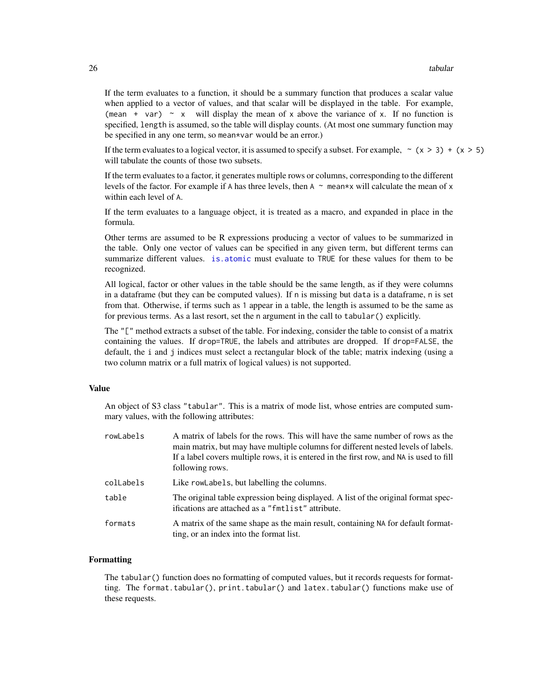If the term evaluates to a function, it should be a summary function that produces a scalar value when applied to a vector of values, and that scalar will be displayed in the table. For example, (mean + var)  $\sim x$  will display the mean of x above the variance of x. If no function is specified, length is assumed, so the table will display counts. (At most one summary function may be specified in any one term, so mean\*var would be an error.)

If the term evaluates to a logical vector, it is assumed to specify a subset. For example,  $\sim (x > 3) + (x > 5)$ will tabulate the counts of those two subsets.

If the term evaluates to a factor, it generates multiple rows or columns, corresponding to the different levels of the factor. For example if A has three levels, then  $A \sim$  mean\*x will calculate the mean of x within each level of A.

If the term evaluates to a language object, it is treated as a macro, and expanded in place in the formula.

Other terms are assumed to be R expressions producing a vector of values to be summarized in the table. Only one vector of values can be specified in any given term, but different terms can summarize different values. [is.atomic](#page-0-0) must evaluate to TRUE for these values for them to be recognized.

All logical, factor or other values in the table should be the same length, as if they were columns in a dataframe (but they can be computed values). If n is missing but data is a dataframe, n is set from that. Otherwise, if terms such as 1 appear in a table, the length is assumed to be the same as for previous terms. As a last resort, set the n argument in the call to tabular() explicitly.

The "[" method extracts a subset of the table. For indexing, consider the table to consist of a matrix containing the values. If drop=TRUE, the labels and attributes are dropped. If drop=FALSE, the default, the i and j indices must select a rectangular block of the table; matrix indexing (using a two column matrix or a full matrix of logical values) is not supported.

## Value

An object of S3 class "tabular". This is a matrix of mode list, whose entries are computed summary values, with the following attributes:

| rowLabels | A matrix of labels for the rows. This will have the same number of rows as the<br>main matrix, but may have multiple columns for different nested levels of labels.<br>If a label covers multiple rows, it is entered in the first row, and NA is used to fill<br>following rows. |
|-----------|-----------------------------------------------------------------------------------------------------------------------------------------------------------------------------------------------------------------------------------------------------------------------------------|
| colLabels | Like rowLabels, but labelling the columns.                                                                                                                                                                                                                                        |
| table     | The original table expression being displayed. A list of the original format spec-<br>ifications are attached as a "fmtlist" attribute.                                                                                                                                           |
| formats   | A matrix of the same shape as the main result, containing NA for default format-<br>ting, or an index into the format list.                                                                                                                                                       |

#### Formatting

The tabular() function does no formatting of computed values, but it records requests for formatting. The format.tabular(), print.tabular() and latex.tabular() functions make use of these requests.

<span id="page-25-0"></span>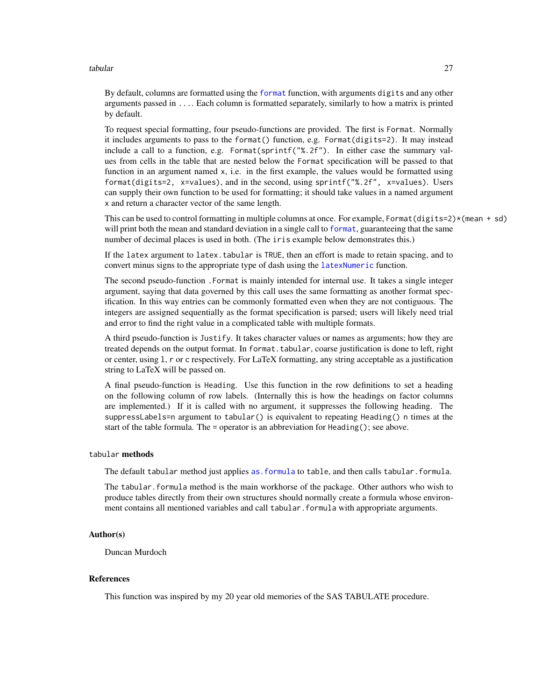<span id="page-26-0"></span>tabular 27 km tahun 1989 (nombor) na manazarta na kabular 27 km tahun 1989. Ang kalendar 27 km tahun 1989 (nombor) na manazarta na kabular 27 km tahun 1989. Ang kalendar 27 km tao ang kabular na manazarta na kabular na man

By default, columns are formatted using the [format](#page-0-0) function, with arguments digits and any other arguments passed in .... Each column is formatted separately, similarly to how a matrix is printed by default.

To request special formatting, four pseudo-functions are provided. The first is Format. Normally it includes arguments to pass to the format() function, e.g. Format(digits=2). It may instead include a call to a function, e.g. Format(sprintf("%.2f"). In either case the summary values from cells in the table that are nested below the Format specification will be passed to that function in an argument named x, i.e. in the first example, the values would be formatted using format(digits=2, x=values), and in the second, using sprintf("%.2f", x=values). Users can supply their own function to be used for formatting; it should take values in a named argument x and return a character vector of the same length.

This can be used to control formatting in multiple columns at once. For example, Format(digits=2)\*(mean + sd) will print both the mean and standard deviation in a single call to [format](#page-0-0), guaranteeing that the same number of decimal places is used in both. (The iris example below demonstrates this.)

If the latex argument to latex.tabular is TRUE, then an effort is made to retain spacing, and to convert minus signs to the appropriate type of dash using the [latexNumeric](#page-16-1) function.

The second pseudo-function .Format is mainly intended for internal use. It takes a single integer argument, saying that data governed by this call uses the same formatting as another format specification. In this way entries can be commonly formatted even when they are not contiguous. The integers are assigned sequentially as the format specification is parsed; users will likely need trial and error to find the right value in a complicated table with multiple formats.

A third pseudo-function is Justify. It takes character values or names as arguments; how they are treated depends on the output format. In format. tabular, coarse justification is done to left, right or center, using l, r or c respectively. For LaTeX formatting, any string acceptable as a justification string to LaTeX will be passed on.

A final pseudo-function is Heading. Use this function in the row definitions to set a heading on the following column of row labels. (Internally this is how the headings on factor columns are implemented.) If it is called with no argument, it suppresses the following heading. The suppressLabels=n argument to tabular() is equivalent to repeating Heading() n times at the start of the table formula. The = operator is an abbreviation for Heading(); see above.

## tabular methods

The default tabular method just applies [as.formula](#page-0-0) to table, and then calls tabular.formula.

The tabular.formula method is the main workhorse of the package. Other authors who wish to produce tables directly from their own structures should normally create a formula whose environment contains all mentioned variables and call tabular. formula with appropriate arguments.

#### Author(s)

Duncan Murdoch

## References

This function was inspired by my 20 year old memories of the SAS TABULATE procedure.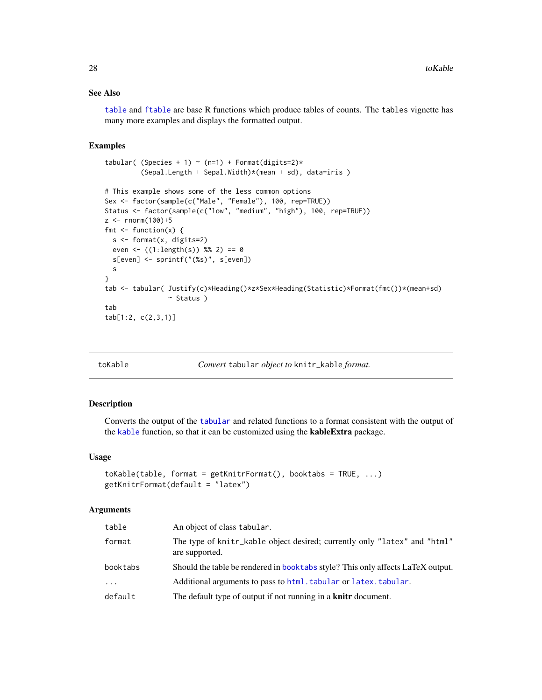## <span id="page-27-0"></span>See Also

[table](#page-0-0) and [ftable](#page-0-0) are base R functions which produce tables of counts. The tables vignette has many more examples and displays the formatted output.

## Examples

```
tabular( (Species + 1) \sim (n=1) + Format(digits=2)*
         (Sepal.Length + Sepal.Width)*(mean + sd), data=iris )
# This example shows some of the less common options
Sex <- factor(sample(c("Male", "Female"), 100, rep=TRUE))
Status <- factor(sample(c("low", "medium", "high"), 100, rep=TRUE))
z <- rnorm(100)+5fmt \le function(x) {
  s <- format(x, digits=2)
  even <- ((1:length(s)) %% 2) == 0
  s[even] <- sprintf("(%s)", s[even])
  s
}
tab <- tabular( Justify(c)*Heading()*z*Sex*Heading(Statistic)*Format(fmt())*(mean+sd)
                ~ Status )
tab
tab[1:2, c(2,3,1)]
```
toKable *Convert* tabular *object to* knitr\_kable *format.*

## Description

Converts the output of the [tabular](#page-23-1) and related functions to a format consistent with the output of the [kable](#page-0-0) function, so that it can be customized using the kableExtra package.

#### Usage

```
toKable(table, format = getKnitrFormat(), booktabs = TRUE, ...)
getKnitrFormat(default = "latex")
```
## Arguments

| table      | An object of class tabular.                                                                 |
|------------|---------------------------------------------------------------------------------------------|
| format     | The type of knitr_kable object desired; currently only "latex" and "html"<br>are supported. |
| booktabs   | Should the table be rendered in book table style? This only affects LaTeX output.           |
| $\ddots$ . | Additional arguments to pass to html. tabular or latex. tabular.                            |
| default    | The default type of output if not running in a <b>knitr</b> document.                       |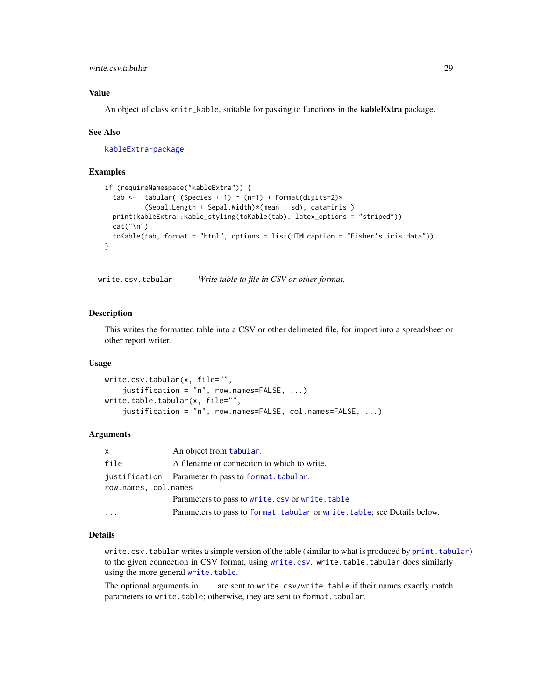## <span id="page-28-0"></span>write.csv.tabular 29

## Value

An object of class knitr\_kable, suitable for passing to functions in the **kableExtra** package.

#### See Also

[kableExtra-package](#page-0-0)

#### Examples

```
if (requireNamespace("kableExtra")) {
 tab <- tabular( (Species + 1) ~ (n=1) + Format(digits=2)*
          (Sepal.Length + Sepal.Width)*(mean + sd), data=iris )
 print(kableExtra::kable_styling(toKable(tab), latex_options = "striped"))
 cat(''\n'')toKable(tab, format = "html", options = list(HTMLcaption = "Fisher's iris data"))
}
```
write.csv.tabular *Write table to file in CSV or other format.*

#### Description

This writes the formatted table into a CSV or other delimeted file, for import into a spreadsheet or other report writer.

#### Usage

```
write.csv.tabular(x, file="",
    justification = "n", row.names=FALSE, ...)
write.table.tabular(x, file="",
    justification = "n", row.names=FALSE, col.names=FALSE, ...)
```
## Arguments

| $\mathsf{x}$         | An object from tabular.                                                   |
|----------------------|---------------------------------------------------------------------------|
| file                 | A filename or connection to which to write.                               |
|                      | justification Parameter to pass to format. tabular.                       |
| row.names, col.names |                                                                           |
|                      | Parameters to pass to write.csv or write.table                            |
| $\cdots$             | Parameters to pass to format. tabular or write. table; see Details below. |

## Details

write.csv.tabular writes a simple version of the table (similar to what is produced by [print.tabular](#page-23-2)) to the given connection in CSV format, using [write.csv](#page-0-0). write.table.tabular does similarly using the more general [write.table](#page-0-0).

The optional arguments in ... are sent to write.csv/write.table if their names exactly match parameters to write.table; otherwise, they are sent to format.tabular.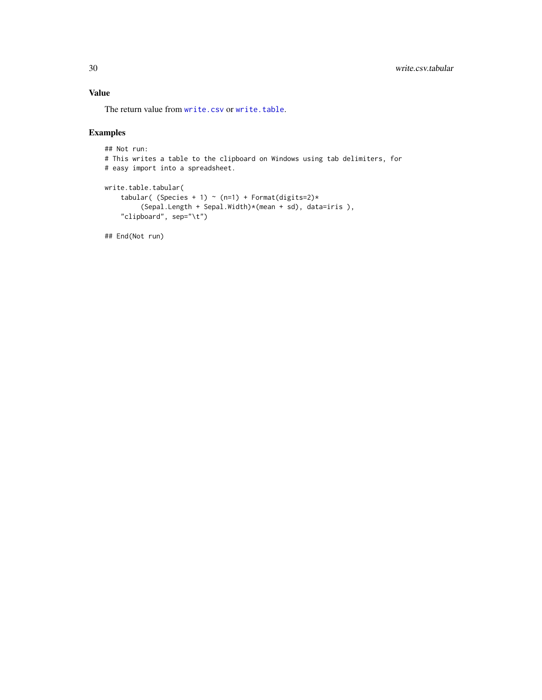## <span id="page-29-0"></span>Value

The return value from [write.csv](#page-0-0) or [write.table](#page-0-0).

## Examples

```
## Not run:
# This writes a table to the clipboard on Windows using tab delimiters, for
# easy import into a spreadsheet.
```

```
write.table.tabular(
    tabular( (Species + 1) ~ (n=1) + Format(digits=2)*
         (Sepal.Length + Sepal.Width)*(mean + sd), data=iris ),
    "clipboard", sep="\t")
```
## End(Not run)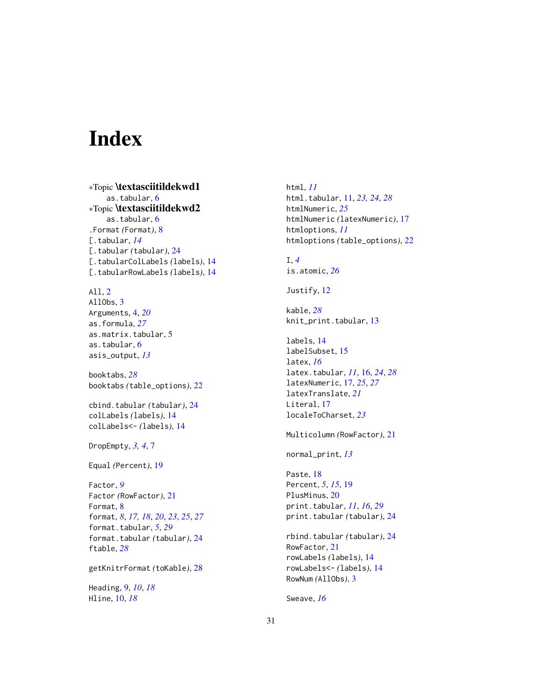# <span id="page-30-0"></span>Index

∗Topic \textasciitildekwd1 as.tabular, [6](#page-5-0) ∗Topic \textasciitildekwd2 as.tabular, [6](#page-5-0) .Format *(*Format*)*, [8](#page-7-0) [.tabular, *[14](#page-13-0)* [.tabular *(*tabular*)*, [24](#page-23-0) [.tabularColLabels *(*labels*)*, [14](#page-13-0) [.tabularRowLabels *(*labels*)*, [14](#page-13-0)

All, [2](#page-1-0) AllObs, [3](#page-2-0) Arguments, [4,](#page-3-0) *[20](#page-19-0)* as.formula, *[27](#page-26-0)* as.matrix.tabular, [5](#page-4-0) as.tabular, [6](#page-5-0) asis\_output, *[13](#page-12-0)*

booktabs, *[28](#page-27-0)* booktabs *(*table\_options*)*, [22](#page-21-0)

cbind.tabular *(*tabular*)*, [24](#page-23-0) colLabels *(*labels*)*, [14](#page-13-0) colLabels<- *(*labels*)*, [14](#page-13-0)

DropEmpty, *[3,](#page-2-0) [4](#page-3-0)*, [7](#page-6-0)

Equal *(*Percent*)*, [19](#page-18-0)

Factor, *[9](#page-8-0)* Factor *(*RowFactor*)*, [21](#page-20-0) Format, [8](#page-7-0) format, *[8](#page-7-0)*, *[17,](#page-16-0) [18](#page-17-0)*, *[20](#page-19-0)*, *[23](#page-22-0)*, *[25](#page-24-0)*, *[27](#page-26-0)* format.tabular, *[5](#page-4-0)*, *[29](#page-28-0)* format.tabular *(*tabular*)*, [24](#page-23-0) ftable, *[28](#page-27-0)*

getKnitrFormat *(*toKable*)*, [28](#page-27-0)

Heading, [9,](#page-8-0) *[10](#page-9-0)*, *[18](#page-17-0)* Hline, [10,](#page-9-0) *[18](#page-17-0)*

html, *[11](#page-10-0)* html.tabular, [11,](#page-10-0) *[23,](#page-22-0) [24](#page-23-0)*, *[28](#page-27-0)* htmlNumeric, *[25](#page-24-0)* htmlNumeric *(*latexNumeric*)*, [17](#page-16-0) htmloptions, *[11](#page-10-0)* htmloptions *(*table\_options*)*, [22](#page-21-0)

I, *[4](#page-3-0)* is.atomic, *[26](#page-25-0)*

Justify, [12](#page-11-0)

kable, *[28](#page-27-0)* knit\_print.tabular, [13](#page-12-0)

labels, [14](#page-13-0) labelSubset, [15](#page-14-0) latex, *[16](#page-15-0)* latex.tabular, *[11](#page-10-0)*, [16,](#page-15-0) *[24](#page-23-0)*, *[28](#page-27-0)* latexNumeric, [17,](#page-16-0) *[25](#page-24-0)*, *[27](#page-26-0)* latexTranslate, *[21](#page-20-0)* Literal, [17](#page-16-0) localeToCharset, *[23](#page-22-0)*

Multicolumn *(*RowFactor*)*, [21](#page-20-0)

normal\_print, *[13](#page-12-0)*

Paste, [18](#page-17-0) Percent, *[5](#page-4-0)*, *[15](#page-14-0)*, [19](#page-18-0) PlusMinus, [20](#page-19-0) print.tabular, *[11](#page-10-0)*, *[16](#page-15-0)*, *[29](#page-28-0)* print.tabular *(*tabular*)*, [24](#page-23-0)

rbind.tabular *(*tabular*)*, [24](#page-23-0) RowFactor, [21](#page-20-0) rowLabels *(*labels*)*, [14](#page-13-0) rowLabels<- *(*labels*)*, [14](#page-13-0) RowNum *(*AllObs*)*, [3](#page-2-0)

Sweave, *[16](#page-15-0)*